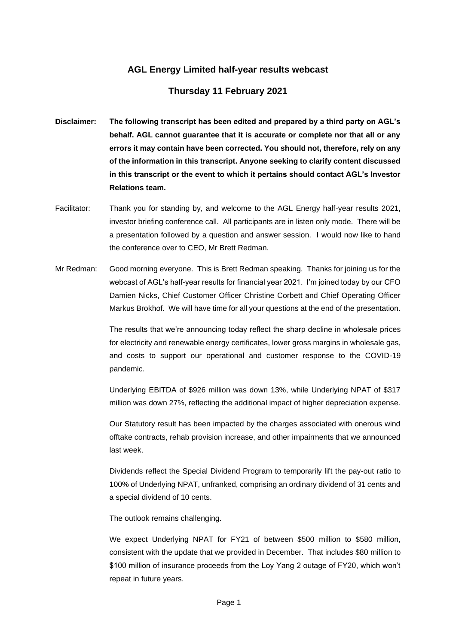## **AGL Energy Limited half-year results webcast**

## **Thursday 11 February 2021**

- **Disclaimer: The following transcript has been edited and prepared by a third party on AGL's behalf. AGL cannot guarantee that it is accurate or complete nor that all or any errors it may contain have been corrected. You should not, therefore, rely on any of the information in this transcript. Anyone seeking to clarify content discussed in this transcript or the event to which it pertains should contact AGL's Investor Relations team.**
- Facilitator: Thank you for standing by, and welcome to the AGL Energy half-year results 2021, investor briefing conference call. All participants are in listen only mode. There will be a presentation followed by a question and answer session. I would now like to hand the conference over to CEO, Mr Brett Redman.
- Mr Redman: Good morning everyone. This is Brett Redman speaking. Thanks for joining us for the webcast of AGL's half-year results for financial year 2021. I'm joined today by our CFO Damien Nicks, Chief Customer Officer Christine Corbett and Chief Operating Officer Markus Brokhof. We will have time for all your questions at the end of the presentation.

The results that we're announcing today reflect the sharp decline in wholesale prices for electricity and renewable energy certificates, lower gross margins in wholesale gas, and costs to support our operational and customer response to the COVID-19 pandemic.

Underlying EBITDA of \$926 million was down 13%, while Underlying NPAT of \$317 million was down 27%, reflecting the additional impact of higher depreciation expense.

Our Statutory result has been impacted by the charges associated with onerous wind offtake contracts, rehab provision increase, and other impairments that we announced last week.

Dividends reflect the Special Dividend Program to temporarily lift the pay-out ratio to 100% of Underlying NPAT, unfranked, comprising an ordinary dividend of 31 cents and a special dividend of 10 cents.

The outlook remains challenging.

We expect Underlying NPAT for FY21 of between \$500 million to \$580 million, consistent with the update that we provided in December. That includes \$80 million to \$100 million of insurance proceeds from the Loy Yang 2 outage of FY20, which won't repeat in future years.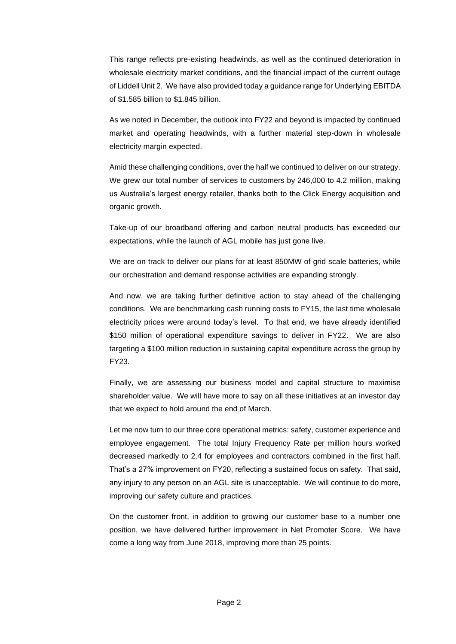This range reflects pre-existing headwinds, as well as the continued deterioration in wholesale electricity market conditions, and the financial impact of the current outage of Liddell Unit 2. We have also provided today a guidance range for Underlying EBITDA of \$1.585 billion to \$1.845 billion.

As we noted in December, the outlook into FY22 and beyond is impacted by continued market and operating headwinds, with a further material step-down in wholesale electricity margin expected.

Amid these challenging conditions, over the half we continued to deliver on our strategy. We grew our total number of services to customers by 246,000 to 4.2 million, making us Australia's largest energy retailer, thanks both to the Click Energy acquisition and organic growth.

Take-up of our broadband offering and carbon neutral products has exceeded our expectations, while the launch of AGL mobile has just gone live.

We are on track to deliver our plans for at least 850MW of grid scale batteries, while our orchestration and demand response activities are expanding strongly.

And now, we are taking further definitive action to stay ahead of the challenging conditions. We are benchmarking cash running costs to FY15, the last time wholesale electricity prices were around today's level. To that end, we have already identified \$150 million of operational expenditure savings to deliver in FY22. We are also targeting a \$100 million reduction in sustaining capital expenditure across the group by FY23.

Finally, we are assessing our business model and capital structure to maximise shareholder value. We will have more to say on all these initiatives at an investor day that we expect to hold around the end of March.

Let me now turn to our three core operational metrics: safety, customer experience and employee engagement. The total Injury Frequency Rate per million hours worked decreased markedly to 2.4 for employees and contractors combined in the first half. That's a 27% improvement on FY20, reflecting a sustained focus on safety. That said, any injury to any person on an AGL site is unacceptable. We will continue to do more, improving our safety culture and practices.

On the customer front, in addition to growing our customer base to a number one position, we have delivered further improvement in Net Promoter Score. We have come a long way from June 2018, improving more than 25 points.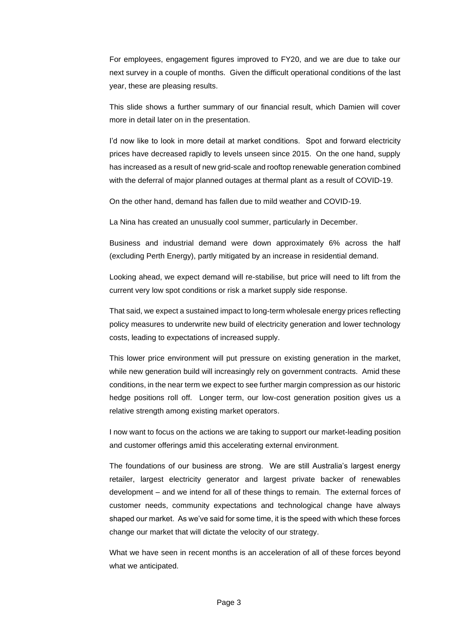For employees, engagement figures improved to FY20, and we are due to take our next survey in a couple of months. Given the difficult operational conditions of the last year, these are pleasing results.

This slide shows a further summary of our financial result, which Damien will cover more in detail later on in the presentation.

I'd now like to look in more detail at market conditions. Spot and forward electricity prices have decreased rapidly to levels unseen since 2015. On the one hand, supply has increased as a result of new grid-scale and rooftop renewable generation combined with the deferral of major planned outages at thermal plant as a result of COVID-19.

On the other hand, demand has fallen due to mild weather and COVID-19.

La Nina has created an unusually cool summer, particularly in December.

Business and industrial demand were down approximately 6% across the half (excluding Perth Energy), partly mitigated by an increase in residential demand.

Looking ahead, we expect demand will re-stabilise, but price will need to lift from the current very low spot conditions or risk a market supply side response.

That said, we expect a sustained impact to long-term wholesale energy prices reflecting policy measures to underwrite new build of electricity generation and lower technology costs, leading to expectations of increased supply.

This lower price environment will put pressure on existing generation in the market, while new generation build will increasingly rely on government contracts. Amid these conditions, in the near term we expect to see further margin compression as our historic hedge positions roll off. Longer term, our low-cost generation position gives us a relative strength among existing market operators.

I now want to focus on the actions we are taking to support our market-leading position and customer offerings amid this accelerating external environment.

The foundations of our business are strong. We are still Australia's largest energy retailer, largest electricity generator and largest private backer of renewables development – and we intend for all of these things to remain. The external forces of customer needs, community expectations and technological change have always shaped our market. As we've said for some time, it is the speed with which these forces change our market that will dictate the velocity of our strategy.

What we have seen in recent months is an acceleration of all of these forces beyond what we anticipated.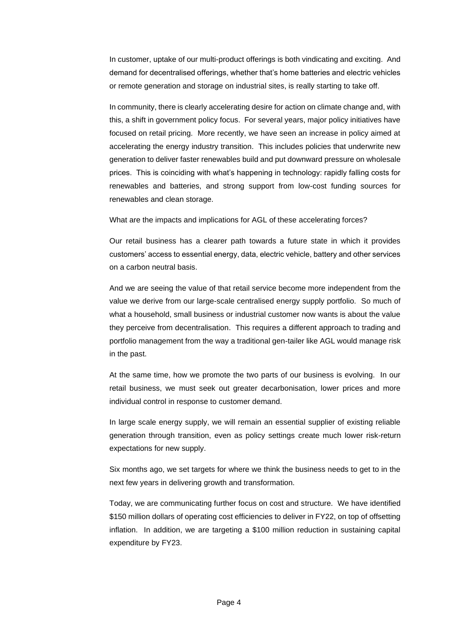In customer, uptake of our multi-product offerings is both vindicating and exciting. And demand for decentralised offerings, whether that's home batteries and electric vehicles or remote generation and storage on industrial sites, is really starting to take off.

In community, there is clearly accelerating desire for action on climate change and, with this, a shift in government policy focus. For several years, major policy initiatives have focused on retail pricing. More recently, we have seen an increase in policy aimed at accelerating the energy industry transition. This includes policies that underwrite new generation to deliver faster renewables build and put downward pressure on wholesale prices. This is coinciding with what's happening in technology: rapidly falling costs for renewables and batteries, and strong support from low-cost funding sources for renewables and clean storage.

What are the impacts and implications for AGL of these accelerating forces?

Our retail business has a clearer path towards a future state in which it provides customers' access to essential energy, data, electric vehicle, battery and other services on a carbon neutral basis.

And we are seeing the value of that retail service become more independent from the value we derive from our large-scale centralised energy supply portfolio. So much of what a household, small business or industrial customer now wants is about the value they perceive from decentralisation. This requires a different approach to trading and portfolio management from the way a traditional gen-tailer like AGL would manage risk in the past.

At the same time, how we promote the two parts of our business is evolving. In our retail business, we must seek out greater decarbonisation, lower prices and more individual control in response to customer demand.

In large scale energy supply, we will remain an essential supplier of existing reliable generation through transition, even as policy settings create much lower risk-return expectations for new supply.

Six months ago, we set targets for where we think the business needs to get to in the next few years in delivering growth and transformation.

Today, we are communicating further focus on cost and structure. We have identified \$150 million dollars of operating cost efficiencies to deliver in FY22, on top of offsetting inflation. In addition, we are targeting a \$100 million reduction in sustaining capital expenditure by FY23.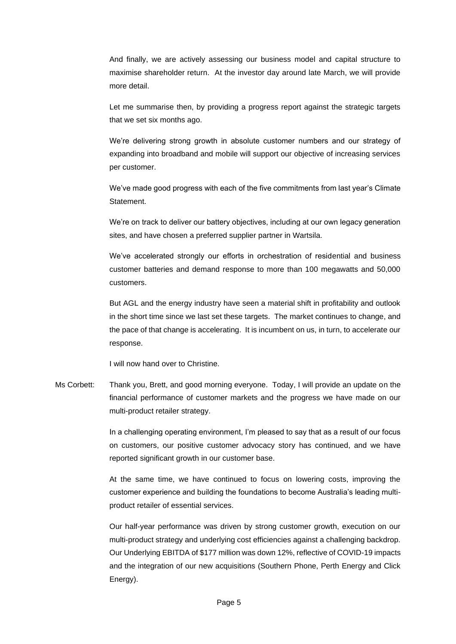And finally, we are actively assessing our business model and capital structure to maximise shareholder return. At the investor day around late March, we will provide more detail.

Let me summarise then, by providing a progress report against the strategic targets that we set six months ago.

We're delivering strong growth in absolute customer numbers and our strategy of expanding into broadband and mobile will support our objective of increasing services per customer.

We've made good progress with each of the five commitments from last year's Climate Statement.

We're on track to deliver our battery objectives, including at our own legacy generation sites, and have chosen a preferred supplier partner in Wartsila.

We've accelerated strongly our efforts in orchestration of residential and business customer batteries and demand response to more than 100 megawatts and 50,000 customers.

But AGL and the energy industry have seen a material shift in profitability and outlook in the short time since we last set these targets. The market continues to change, and the pace of that change is accelerating. It is incumbent on us, in turn, to accelerate our response.

I will now hand over to Christine.

Ms Corbett: Thank you, Brett, and good morning everyone. Today, I will provide an update on the financial performance of customer markets and the progress we have made on our multi-product retailer strategy.

> In a challenging operating environment, I'm pleased to say that as a result of our focus on customers, our positive customer advocacy story has continued, and we have reported significant growth in our customer base.

> At the same time, we have continued to focus on lowering costs, improving the customer experience and building the foundations to become Australia's leading multiproduct retailer of essential services.

> Our half-year performance was driven by strong customer growth, execution on our multi-product strategy and underlying cost efficiencies against a challenging backdrop. Our Underlying EBITDA of \$177 million was down 12%, reflective of COVID-19 impacts and the integration of our new acquisitions (Southern Phone, Perth Energy and Click Energy).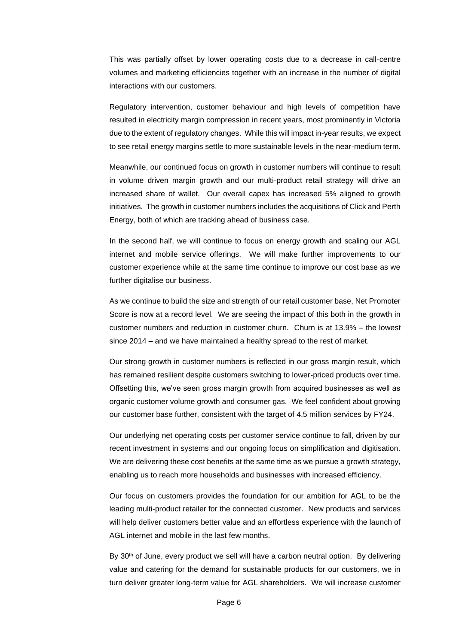This was partially offset by lower operating costs due to a decrease in call-centre volumes and marketing efficiencies together with an increase in the number of digital interactions with our customers.

Regulatory intervention, customer behaviour and high levels of competition have resulted in electricity margin compression in recent years, most prominently in Victoria due to the extent of regulatory changes. While this will impact in-year results, we expect to see retail energy margins settle to more sustainable levels in the near-medium term.

Meanwhile, our continued focus on growth in customer numbers will continue to result in volume driven margin growth and our multi-product retail strategy will drive an increased share of wallet. Our overall capex has increased 5% aligned to growth initiatives. The growth in customer numbers includes the acquisitions of Click and Perth Energy, both of which are tracking ahead of business case.

In the second half, we will continue to focus on energy growth and scaling our AGL internet and mobile service offerings. We will make further improvements to our customer experience while at the same time continue to improve our cost base as we further digitalise our business.

As we continue to build the size and strength of our retail customer base, Net Promoter Score is now at a record level. We are seeing the impact of this both in the growth in customer numbers and reduction in customer churn. Churn is at 13.9% – the lowest since 2014 – and we have maintained a healthy spread to the rest of market.

Our strong growth in customer numbers is reflected in our gross margin result, which has remained resilient despite customers switching to lower-priced products over time. Offsetting this, we've seen gross margin growth from acquired businesses as well as organic customer volume growth and consumer gas. We feel confident about growing our customer base further, consistent with the target of 4.5 million services by FY24.

Our underlying net operating costs per customer service continue to fall, driven by our recent investment in systems and our ongoing focus on simplification and digitisation. We are delivering these cost benefits at the same time as we pursue a growth strategy, enabling us to reach more households and businesses with increased efficiency.

Our focus on customers provides the foundation for our ambition for AGL to be the leading multi-product retailer for the connected customer. New products and services will help deliver customers better value and an effortless experience with the launch of AGL internet and mobile in the last few months.

By 30<sup>th</sup> of June, every product we sell will have a carbon neutral option. By delivering value and catering for the demand for sustainable products for our customers, we in turn deliver greater long-term value for AGL shareholders. We will increase customer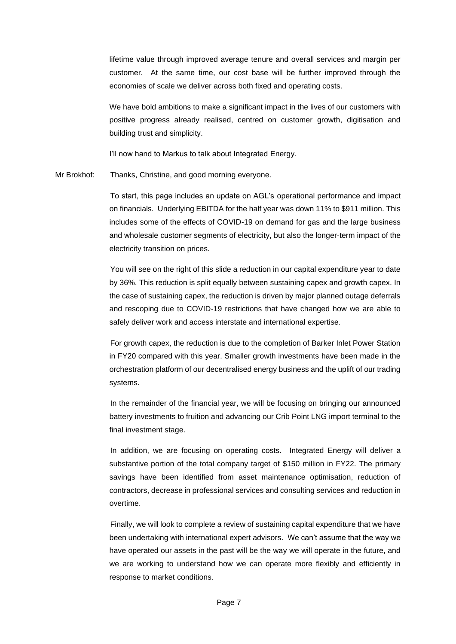lifetime value through improved average tenure and overall services and margin per customer. At the same time, our cost base will be further improved through the economies of scale we deliver across both fixed and operating costs.

We have bold ambitions to make a significant impact in the lives of our customers with positive progress already realised, centred on customer growth, digitisation and building trust and simplicity.

I'll now hand to Markus to talk about Integrated Energy.

Mr Brokhof: Thanks, Christine, and good morning everyone.

To start, this page includes an update on AGL's operational performance and impact on financials. Underlying EBITDA for the half year was down 11% to \$911 million. This includes some of the effects of COVID-19 on demand for gas and the large business and wholesale customer segments of electricity, but also the longer-term impact of the electricity transition on prices.

You will see on the right of this slide a reduction in our capital expenditure year to date by 36%. This reduction is split equally between sustaining capex and growth capex. In the case of sustaining capex, the reduction is driven by major planned outage deferrals and rescoping due to COVID-19 restrictions that have changed how we are able to safely deliver work and access interstate and international expertise.

For growth capex, the reduction is due to the completion of Barker Inlet Power Station in FY20 compared with this year. Smaller growth investments have been made in the orchestration platform of our decentralised energy business and the uplift of our trading systems.

In the remainder of the financial year, we will be focusing on bringing our announced battery investments to fruition and advancing our Crib Point LNG import terminal to the final investment stage.

In addition, we are focusing on operating costs. Integrated Energy will deliver a substantive portion of the total company target of \$150 million in FY22. The primary savings have been identified from asset maintenance optimisation, reduction of contractors, decrease in professional services and consulting services and reduction in overtime.

Finally, we will look to complete a review of sustaining capital expenditure that we have been undertaking with international expert advisors. We can't assume that the way we have operated our assets in the past will be the way we will operate in the future, and we are working to understand how we can operate more flexibly and efficiently in response to market conditions.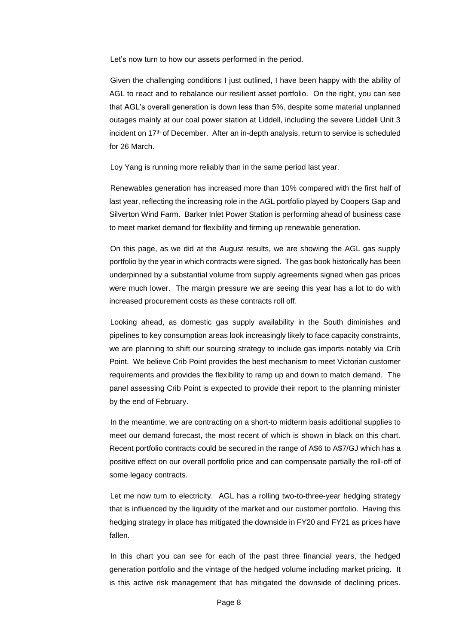Let's now turn to how our assets performed in the period.

Given the challenging conditions I just outlined, I have been happy with the ability of AGL to react and to rebalance our resilient asset portfolio. On the right, you can see that AGL's overall generation is down less than 5%, despite some material unplanned outages mainly at our coal power station at Liddell, including the severe Liddell Unit 3 incident on 17th of December. After an in-depth analysis, return to service is scheduled for 26 March.

Loy Yang is running more reliably than in the same period last year.

Renewables generation has increased more than 10% compared with the first half of last year, reflecting the increasing role in the AGL portfolio played by Coopers Gap and Silverton Wind Farm. Barker Inlet Power Station is performing ahead of business case to meet market demand for flexibility and firming up renewable generation.

On this page, as we did at the August results, we are showing the AGL gas supply portfolio by the year in which contracts were signed. The gas book historically has been underpinned by a substantial volume from supply agreements signed when gas prices were much lower. The margin pressure we are seeing this year has a lot to do with increased procurement costs as these contracts roll off.

Looking ahead, as domestic gas supply availability in the South diminishes and pipelines to key consumption areas look increasingly likely to face capacity constraints, we are planning to shift our sourcing strategy to include gas imports notably via Crib Point. We believe Crib Point provides the best mechanism to meet Victorian customer requirements and provides the flexibility to ramp up and down to match demand. The panel assessing Crib Point is expected to provide their report to the planning minister by the end of February.

In the meantime, we are contracting on a short-to midterm basis additional supplies to meet our demand forecast, the most recent of which is shown in black on this chart. Recent portfolio contracts could be secured in the range of A\$6 to A\$7/GJ which has a positive effect on our overall portfolio price and can compensate partially the roll-off of some legacy contracts.

Let me now turn to electricity. AGL has a rolling two-to-three-year hedging strategy that is influenced by the liquidity of the market and our customer portfolio. Having this hedging strategy in place has mitigated the downside in FY20 and FY21 as prices have fallen.

In this chart you can see for each of the past three financial years, the hedged generation portfolio and the vintage of the hedged volume including market pricing. It is this active risk management that has mitigated the downside of declining prices.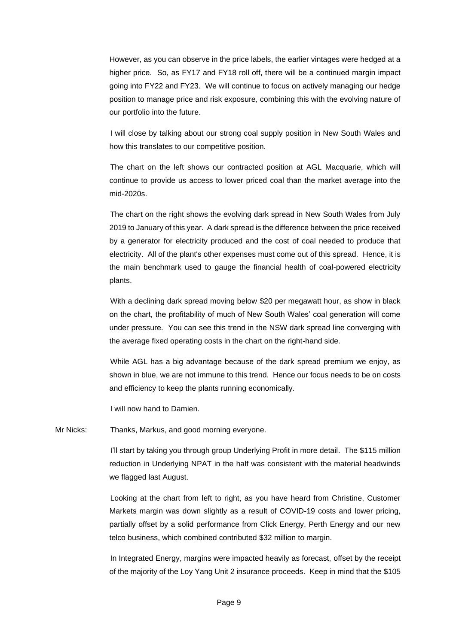However, as you can observe in the price labels, the earlier vintages were hedged at a higher price. So, as FY17 and FY18 roll off, there will be a continued margin impact going into FY22 and FY23. We will continue to focus on actively managing our hedge position to manage price and risk exposure, combining this with the evolving nature of our portfolio into the future.

I will close by talking about our strong coal supply position in New South Wales and how this translates to our competitive position.

The chart on the left shows our contracted position at AGL Macquarie, which will continue to provide us access to lower priced coal than the market average into the mid-2020s.

The chart on the right shows the evolving dark spread in New South Wales from July 2019 to January of this year. A dark spread is the difference between the price received by a generator for electricity produced and the cost of coal needed to produce that electricity. All of the plant's other expenses must come out of this spread. Hence, it is the main benchmark used to gauge the financial health of coal-powered electricity plants.

With a declining dark spread moving below \$20 per megawatt hour, as show in black on the chart, the profitability of much of New South Wales' coal generation will come under pressure. You can see this trend in the NSW dark spread line converging with the average fixed operating costs in the chart on the right-hand side.

While AGL has a big advantage because of the dark spread premium we enjoy, as shown in blue, we are not immune to this trend. Hence our focus needs to be on costs and efficiency to keep the plants running economically.

I will now hand to Damien.

Mr Nicks: Thanks, Markus, and good morning everyone.

I'll start by taking you through group Underlying Profit in more detail. The \$115 million reduction in Underlying NPAT in the half was consistent with the material headwinds we flagged last August.

Looking at the chart from left to right, as you have heard from Christine, Customer Markets margin was down slightly as a result of COVID-19 costs and lower pricing, partially offset by a solid performance from Click Energy, Perth Energy and our new telco business, which combined contributed \$32 million to margin.

In Integrated Energy, margins were impacted heavily as forecast, offset by the receipt of the majority of the Loy Yang Unit 2 insurance proceeds. Keep in mind that the \$105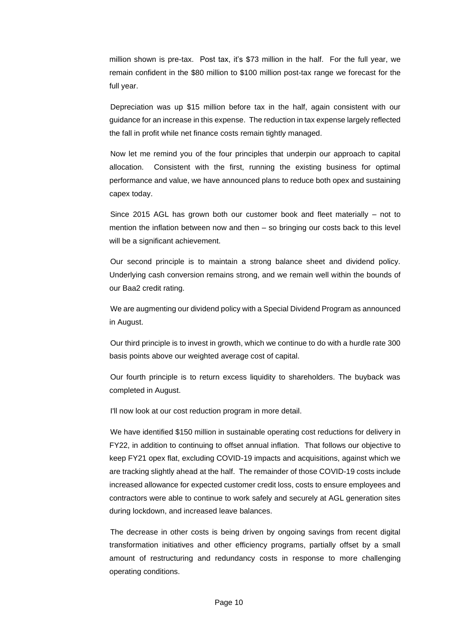million shown is pre-tax. Post tax, it's \$73 million in the half. For the full year, we remain confident in the \$80 million to \$100 million post-tax range we forecast for the full year.

Depreciation was up \$15 million before tax in the half, again consistent with our guidance for an increase in this expense. The reduction in tax expense largely reflected the fall in profit while net finance costs remain tightly managed.

Now let me remind you of the four principles that underpin our approach to capital allocation. Consistent with the first, running the existing business for optimal performance and value, we have announced plans to reduce both opex and sustaining capex today.

Since 2015 AGL has grown both our customer book and fleet materially – not to mention the inflation between now and then – so bringing our costs back to this level will be a significant achievement.

Our second principle is to maintain a strong balance sheet and dividend policy. Underlying cash conversion remains strong, and we remain well within the bounds of our Baa2 credit rating.

We are augmenting our dividend policy with a Special Dividend Program as announced in August.

Our third principle is to invest in growth, which we continue to do with a hurdle rate 300 basis points above our weighted average cost of capital.

Our fourth principle is to return excess liquidity to shareholders. The buyback was completed in August.

I'll now look at our cost reduction program in more detail.

We have identified \$150 million in sustainable operating cost reductions for delivery in FY22, in addition to continuing to offset annual inflation. That follows our objective to keep FY21 opex flat, excluding COVID-19 impacts and acquisitions, against which we are tracking slightly ahead at the half. The remainder of those COVID-19 costs include increased allowance for expected customer credit loss, costs to ensure employees and contractors were able to continue to work safely and securely at AGL generation sites during lockdown, and increased leave balances.

The decrease in other costs is being driven by ongoing savings from recent digital transformation initiatives and other efficiency programs, partially offset by a small amount of restructuring and redundancy costs in response to more challenging operating conditions.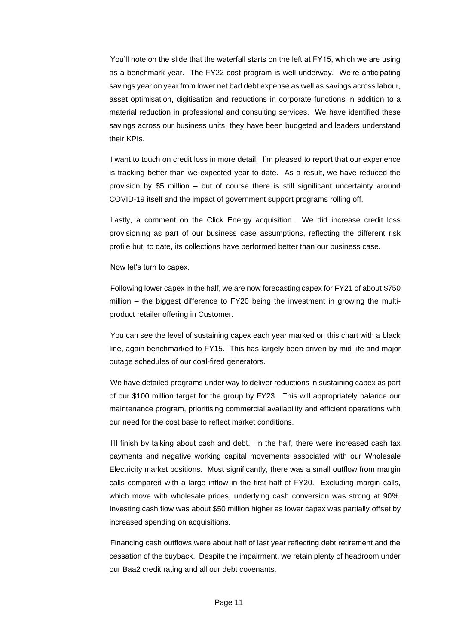You'll note on the slide that the waterfall starts on the left at FY15, which we are using as a benchmark year. The FY22 cost program is well underway. We're anticipating savings year on year from lower net bad debt expense as well as savings across labour, asset optimisation, digitisation and reductions in corporate functions in addition to a material reduction in professional and consulting services. We have identified these savings across our business units, they have been budgeted and leaders understand their KPIs.

I want to touch on credit loss in more detail. I'm pleased to report that our experience is tracking better than we expected year to date. As a result, we have reduced the provision by \$5 million – but of course there is still significant uncertainty around COVID-19 itself and the impact of government support programs rolling off.

Lastly, a comment on the Click Energy acquisition. We did increase credit loss provisioning as part of our business case assumptions, reflecting the different risk profile but, to date, its collections have performed better than our business case.

## Now let's turn to capex.

Following lower capex in the half, we are now forecasting capex for FY21 of about \$750 million – the biggest difference to FY20 being the investment in growing the multiproduct retailer offering in Customer.

You can see the level of sustaining capex each year marked on this chart with a black line, again benchmarked to FY15. This has largely been driven by mid-life and major outage schedules of our coal-fired generators.

We have detailed programs under way to deliver reductions in sustaining capex as part of our \$100 million target for the group by FY23. This will appropriately balance our maintenance program, prioritising commercial availability and efficient operations with our need for the cost base to reflect market conditions.

I'll finish by talking about cash and debt. In the half, there were increased cash tax payments and negative working capital movements associated with our Wholesale Electricity market positions. Most significantly, there was a small outflow from margin calls compared with a large inflow in the first half of FY20. Excluding margin calls, which move with wholesale prices, underlying cash conversion was strong at 90%. Investing cash flow was about \$50 million higher as lower capex was partially offset by increased spending on acquisitions.

Financing cash outflows were about half of last year reflecting debt retirement and the cessation of the buyback. Despite the impairment, we retain plenty of headroom under our Baa2 credit rating and all our debt covenants.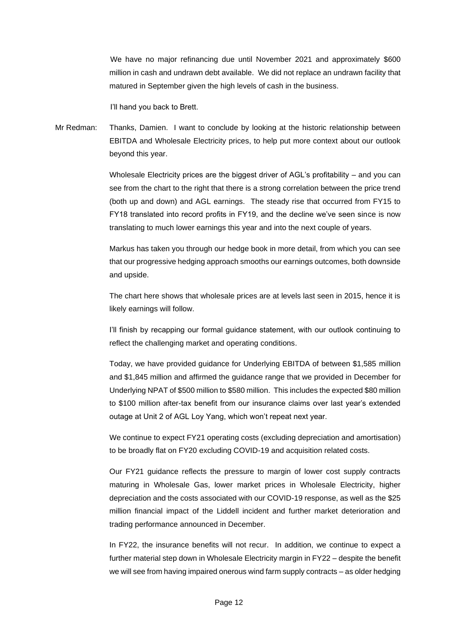We have no major refinancing due until November 2021 and approximately \$600 million in cash and undrawn debt available. We did not replace an undrawn facility that matured in September given the high levels of cash in the business.

I'll hand you back to Brett.

Mr Redman: Thanks, Damien. I want to conclude by looking at the historic relationship between EBITDA and Wholesale Electricity prices, to help put more context about our outlook beyond this year.

> Wholesale Electricity prices are the biggest driver of AGL's profitability – and you can see from the chart to the right that there is a strong correlation between the price trend (both up and down) and AGL earnings. The steady rise that occurred from FY15 to FY18 translated into record profits in FY19, and the decline we've seen since is now translating to much lower earnings this year and into the next couple of years.

> Markus has taken you through our hedge book in more detail, from which you can see that our progressive hedging approach smooths our earnings outcomes, both downside and upside.

> The chart here shows that wholesale prices are at levels last seen in 2015, hence it is likely earnings will follow.

> I'll finish by recapping our formal guidance statement, with our outlook continuing to reflect the challenging market and operating conditions.

> Today, we have provided guidance for Underlying EBITDA of between \$1,585 million and \$1,845 million and affirmed the guidance range that we provided in December for Underlying NPAT of \$500 million to \$580 million. This includes the expected \$80 million to \$100 million after-tax benefit from our insurance claims over last year's extended outage at Unit 2 of AGL Loy Yang, which won't repeat next year.

> We continue to expect FY21 operating costs (excluding depreciation and amortisation) to be broadly flat on FY20 excluding COVID-19 and acquisition related costs.

> Our FY21 guidance reflects the pressure to margin of lower cost supply contracts maturing in Wholesale Gas, lower market prices in Wholesale Electricity, higher depreciation and the costs associated with our COVID-19 response, as well as the \$25 million financial impact of the Liddell incident and further market deterioration and trading performance announced in December.

> In FY22, the insurance benefits will not recur. In addition, we continue to expect a further material step down in Wholesale Electricity margin in FY22 – despite the benefit we will see from having impaired onerous wind farm supply contracts – as older hedging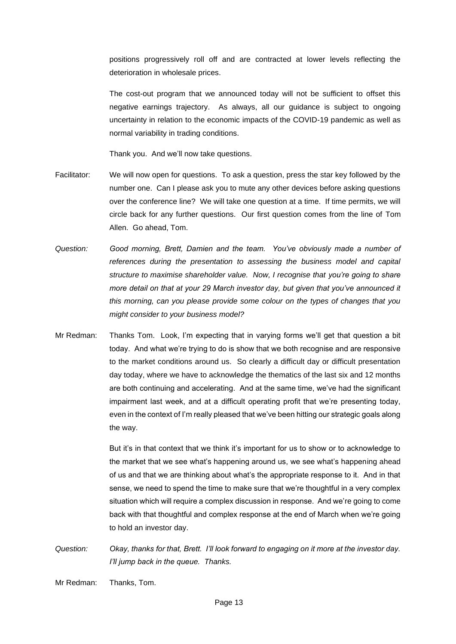positions progressively roll off and are contracted at lower levels reflecting the deterioration in wholesale prices.

The cost-out program that we announced today will not be sufficient to offset this negative earnings trajectory. As always, all our guidance is subject to ongoing uncertainty in relation to the economic impacts of the COVID-19 pandemic as well as normal variability in trading conditions.

Thank you. And we'll now take questions.

- Facilitator: We will now open for questions. To ask a question, press the star key followed by the number one. Can I please ask you to mute any other devices before asking questions over the conference line? We will take one question at a time. If time permits, we will circle back for any further questions. Our first question comes from the line of Tom Allen. Go ahead, Tom.
- *Question: Good morning, Brett, Damien and the team. You've obviously made a number of references during the presentation to assessing the business model and capital structure to maximise shareholder value. Now, I recognise that you're going to share more detail on that at your 29 March investor day, but given that you've announced it this morning, can you please provide some colour on the types of changes that you might consider to your business model?*
- Mr Redman: Thanks Tom. Look, I'm expecting that in varying forms we'll get that question a bit today. And what we're trying to do is show that we both recognise and are responsive to the market conditions around us. So clearly a difficult day or difficult presentation day today, where we have to acknowledge the thematics of the last six and 12 months are both continuing and accelerating. And at the same time, we've had the significant impairment last week, and at a difficult operating profit that we're presenting today, even in the context of I'm really pleased that we've been hitting our strategic goals along the way.

But it's in that context that we think it's important for us to show or to acknowledge to the market that we see what's happening around us, we see what's happening ahead of us and that we are thinking about what's the appropriate response to it. And in that sense, we need to spend the time to make sure that we're thoughtful in a very complex situation which will require a complex discussion in response. And we're going to come back with that thoughtful and complex response at the end of March when we're going to hold an investor day.

*Question: Okay, thanks for that, Brett. I'll look forward to engaging on it more at the investor day. I'll jump back in the queue. Thanks.*

Mr Redman: Thanks, Tom.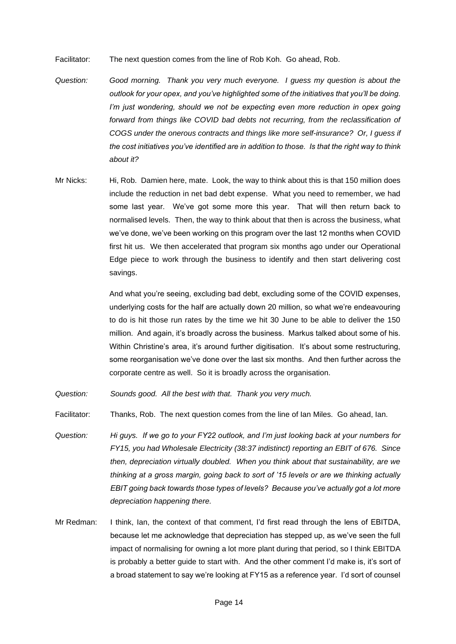Facilitator: The next question comes from the line of Rob Koh. Go ahead, Rob.

- *Question: Good morning. Thank you very much everyone. I guess my question is about the outlook for your opex, and you've highlighted some of the initiatives that you'll be doing. I'm just wondering, should we not be expecting even more reduction in opex going forward from things like COVID bad debts not recurring, from the reclassification of COGS under the onerous contracts and things like more self-insurance? Or, I guess if the cost initiatives you've identified are in addition to those. Is that the right way to think about it?*
- Mr Nicks: Hi, Rob. Damien here, mate. Look, the way to think about this is that 150 million does include the reduction in net bad debt expense. What you need to remember, we had some last year. We've got some more this year. That will then return back to normalised levels. Then, the way to think about that then is across the business, what we've done, we've been working on this program over the last 12 months when COVID first hit us. We then accelerated that program six months ago under our Operational Edge piece to work through the business to identify and then start delivering cost savings.

And what you're seeing, excluding bad debt, excluding some of the COVID expenses, underlying costs for the half are actually down 20 million, so what we're endeavouring to do is hit those run rates by the time we hit 30 June to be able to deliver the 150 million. And again, it's broadly across the business. Markus talked about some of his. Within Christine's area, it's around further digitisation. It's about some restructuring, some reorganisation we've done over the last six months. And then further across the corporate centre as well. So it is broadly across the organisation.

- *Question: Sounds good. All the best with that. Thank you very much.*
- Facilitator: Thanks, Rob. The next question comes from the line of Ian Miles. Go ahead, Ian.
- *Question: Hi guys. If we go to your FY22 outlook, and I'm just looking back at your numbers for FY15, you had Wholesale Electricity (38:37 indistinct) reporting an EBIT of 676. Since then, depreciation virtually doubled. When you think about that sustainability, are we thinking at a gross margin, going back to sort of '15 levels or are we thinking actually EBIT going back towards those types of levels? Because you've actually got a lot more depreciation happening there.*
- Mr Redman: I think, Ian, the context of that comment, I'd first read through the lens of EBITDA, because let me acknowledge that depreciation has stepped up, as we've seen the full impact of normalising for owning a lot more plant during that period, so I think EBITDA is probably a better guide to start with. And the other comment I'd make is, it's sort of a broad statement to say we're looking at FY15 as a reference year. I'd sort of counsel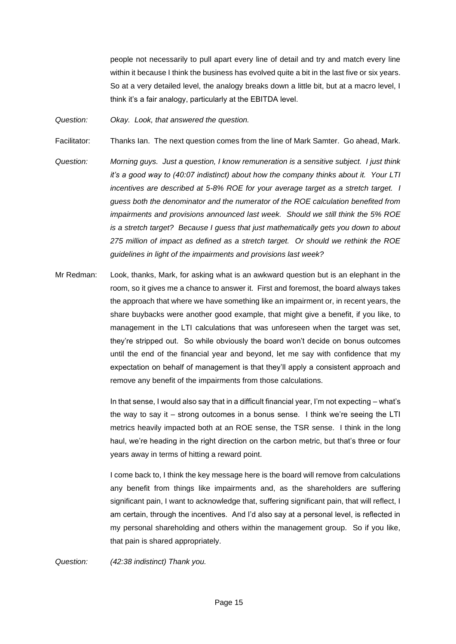people not necessarily to pull apart every line of detail and try and match every line within it because I think the business has evolved quite a bit in the last five or six years. So at a very detailed level, the analogy breaks down a little bit, but at a macro level, I think it's a fair analogy, particularly at the EBITDA level.

*Question: Okay. Look, that answered the question.*

Facilitator: Thanks Ian. The next question comes from the line of Mark Samter. Go ahead, Mark.

- *Question: Morning guys. Just a question, I know remuneration is a sensitive subject. I just think it's a good way to (40:07 indistinct) about how the company thinks about it. Your LTI incentives are described at 5-8% ROE for your average target as a stretch target. I guess both the denominator and the numerator of the ROE calculation benefited from impairments and provisions announced last week. Should we still think the 5% ROE is a stretch target? Because I guess that just mathematically gets you down to about 275 million of impact as defined as a stretch target. Or should we rethink the ROE guidelines in light of the impairments and provisions last week?*
- Mr Redman: Look, thanks, Mark, for asking what is an awkward question but is an elephant in the room, so it gives me a chance to answer it. First and foremost, the board always takes the approach that where we have something like an impairment or, in recent years, the share buybacks were another good example, that might give a benefit, if you like, to management in the LTI calculations that was unforeseen when the target was set, they're stripped out. So while obviously the board won't decide on bonus outcomes until the end of the financial year and beyond, let me say with confidence that my expectation on behalf of management is that they'll apply a consistent approach and remove any benefit of the impairments from those calculations.

In that sense, I would also say that in a difficult financial year, I'm not expecting – what's the way to say it – strong outcomes in a bonus sense. I think we're seeing the LTI metrics heavily impacted both at an ROE sense, the TSR sense. I think in the long haul, we're heading in the right direction on the carbon metric, but that's three or four years away in terms of hitting a reward point.

I come back to, I think the key message here is the board will remove from calculations any benefit from things like impairments and, as the shareholders are suffering significant pain, I want to acknowledge that, suffering significant pain, that will reflect, I am certain, through the incentives. And I'd also say at a personal level, is reflected in my personal shareholding and others within the management group. So if you like, that pain is shared appropriately.

*Question: (42:38 indistinct) Thank you.*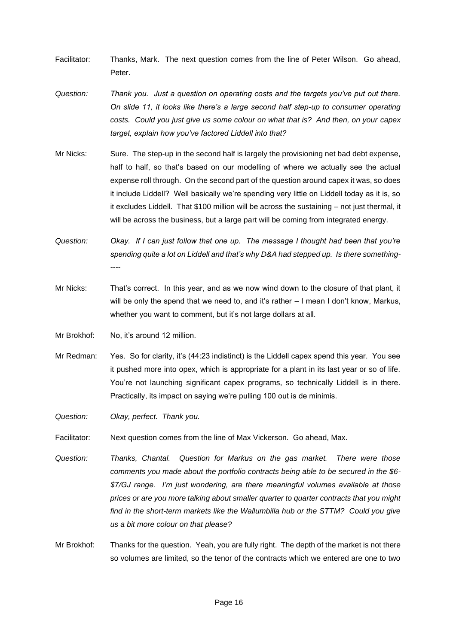- Facilitator: Thanks, Mark. The next question comes from the line of Peter Wilson. Go ahead, Peter.
- *Question: Thank you. Just a question on operating costs and the targets you've put out there. On slide 11, it looks like there's a large second half step-up to consumer operating costs. Could you just give us some colour on what that is? And then, on your capex target, explain how you've factored Liddell into that?*
- Mr Nicks: Sure. The step-up in the second half is largely the provisioning net bad debt expense, half to half, so that's based on our modelling of where we actually see the actual expense roll through. On the second part of the question around capex it was, so does it include Liddell? Well basically we're spending very little on Liddell today as it is, so it excludes Liddell. That \$100 million will be across the sustaining – not just thermal, it will be across the business, but a large part will be coming from integrated energy.
- *Question: Okay. If I can just follow that one up. The message I thought had been that you're spending quite a lot on Liddell and that's why D&A had stepped up. Is there something-*
- Mr Nicks: That's correct. In this year, and as we now wind down to the closure of that plant, it will be only the spend that we need to, and it's rather – I mean I don't know, Markus, whether you want to comment, but it's not large dollars at all.
- Mr Brokhof: No, it's around 12 million.

*----*

- Mr Redman: Yes. So for clarity, it's (44:23 indistinct) is the Liddell capex spend this year. You see it pushed more into opex, which is appropriate for a plant in its last year or so of life. You're not launching significant capex programs, so technically Liddell is in there. Practically, its impact on saying we're pulling 100 out is de minimis.
- *Question: Okay, perfect. Thank you.*
- Facilitator: Next question comes from the line of Max Vickerson. Go ahead, Max.
- *Question: Thanks, Chantal. Question for Markus on the gas market. There were those comments you made about the portfolio contracts being able to be secured in the \$6- \$7/GJ range. I'm just wondering, are there meaningful volumes available at those prices or are you more talking about smaller quarter to quarter contracts that you might*  find in the short-term markets like the Wallumbilla hub or the STTM? Could you give *us a bit more colour on that please?*
- Mr Brokhof: Thanks for the question. Yeah, you are fully right. The depth of the market is not there so volumes are limited, so the tenor of the contracts which we entered are one to two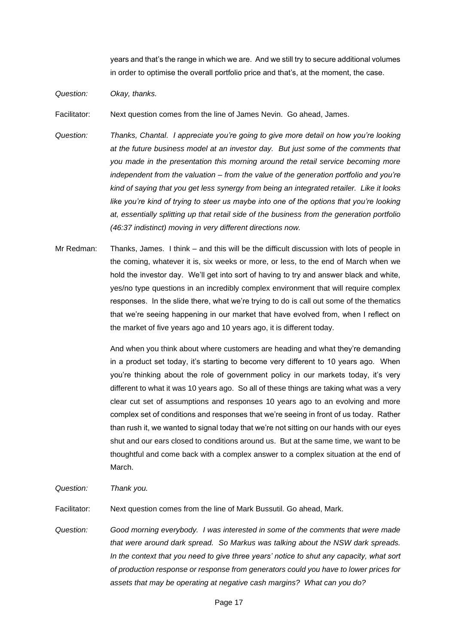years and that's the range in which we are. And we still try to secure additional volumes in order to optimise the overall portfolio price and that's, at the moment, the case.

*Question: Okay, thanks.*

Facilitator: Next question comes from the line of James Nevin. Go ahead, James.

- *Question: Thanks, Chantal. I appreciate you're going to give more detail on how you're looking at the future business model at an investor day. But just some of the comments that you made in the presentation this morning around the retail service becoming more independent from the valuation – from the value of the generation portfolio and you're kind of saying that you get less synergy from being an integrated retailer. Like it looks like you're kind of trying to steer us maybe into one of the options that you're looking at, essentially splitting up that retail side of the business from the generation portfolio (46:37 indistinct) moving in very different directions now.*
- Mr Redman: Thanks, James. I think and this will be the difficult discussion with lots of people in the coming, whatever it is, six weeks or more, or less, to the end of March when we hold the investor day. We'll get into sort of having to try and answer black and white, yes/no type questions in an incredibly complex environment that will require complex responses. In the slide there, what we're trying to do is call out some of the thematics that we're seeing happening in our market that have evolved from, when I reflect on the market of five years ago and 10 years ago, it is different today.

And when you think about where customers are heading and what they're demanding in a product set today, it's starting to become very different to 10 years ago. When you're thinking about the role of government policy in our markets today, it's very different to what it was 10 years ago. So all of these things are taking what was a very clear cut set of assumptions and responses 10 years ago to an evolving and more complex set of conditions and responses that we're seeing in front of us today. Rather than rush it, we wanted to signal today that we're not sitting on our hands with our eyes shut and our ears closed to conditions around us. But at the same time, we want to be thoughtful and come back with a complex answer to a complex situation at the end of March.

## *Question: Thank you.*

Facilitator: Next question comes from the line of Mark Bussutil. Go ahead, Mark.

*Question: Good morning everybody. I was interested in some of the comments that were made that were around dark spread. So Markus was talking about the NSW dark spreads. In the context that you need to give three years' notice to shut any capacity, what sort of production response or response from generators could you have to lower prices for assets that may be operating at negative cash margins? What can you do?*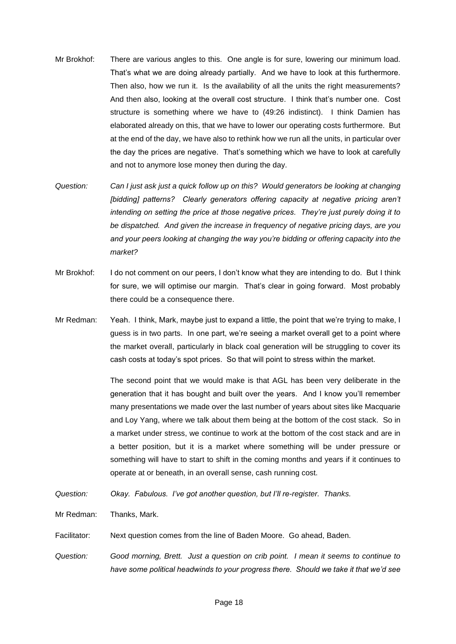- Mr Brokhof: There are various angles to this. One angle is for sure, lowering our minimum load. That's what we are doing already partially. And we have to look at this furthermore. Then also, how we run it. Is the availability of all the units the right measurements? And then also, looking at the overall cost structure. I think that's number one. Cost structure is something where we have to (49:26 indistinct). I think Damien has elaborated already on this, that we have to lower our operating costs furthermore. But at the end of the day, we have also to rethink how we run all the units, in particular over the day the prices are negative. That's something which we have to look at carefully and not to anymore lose money then during the day.
- *Question: Can I just ask just a quick follow up on this? Would generators be looking at changing [bidding] patterns?* Clearly generators offering capacity at negative pricing aren't *intending on setting the price at those negative prices. They're just purely doing it to be dispatched. And given the increase in frequency of negative pricing days, are you and your peers looking at changing the way you're bidding or offering capacity into the market?*
- Mr Brokhof: I do not comment on our peers, I don't know what they are intending to do. But I think for sure, we will optimise our margin. That's clear in going forward. Most probably there could be a consequence there.
- Mr Redman: Yeah. I think, Mark, maybe just to expand a little, the point that we're trying to make, I guess is in two parts. In one part, we're seeing a market overall get to a point where the market overall, particularly in black coal generation will be struggling to cover its cash costs at today's spot prices. So that will point to stress within the market.

The second point that we would make is that AGL has been very deliberate in the generation that it has bought and built over the years. And I know you'll remember many presentations we made over the last number of years about sites like Macquarie and Loy Yang, where we talk about them being at the bottom of the cost stack. So in a market under stress, we continue to work at the bottom of the cost stack and are in a better position, but it is a market where something will be under pressure or something will have to start to shift in the coming months and years if it continues to operate at or beneath, in an overall sense, cash running cost.

- *Question: Okay. Fabulous. I've got another question, but I'll re-register. Thanks.*
- Mr Redman: Thanks, Mark.
- Facilitator: Next question comes from the line of Baden Moore. Go ahead, Baden.
- *Question: Good morning, Brett. Just a question on crib point. I mean it seems to continue to have some political headwinds to your progress there. Should we take it that we'd see*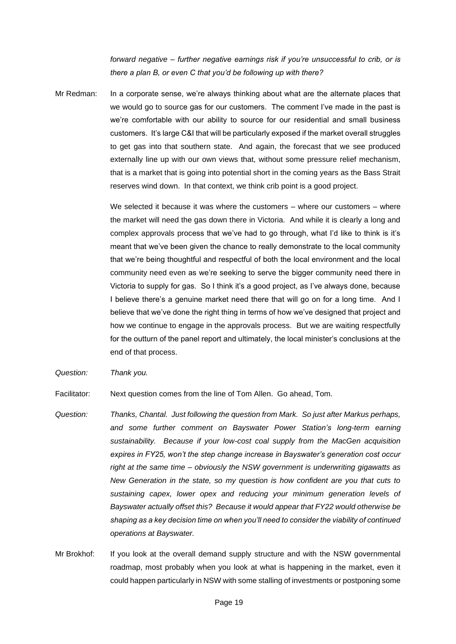*forward negative – further negative earnings risk if you're unsuccessful to crib, or is there a plan B, or even C that you'd be following up with there?*

Mr Redman: In a corporate sense, we're always thinking about what are the alternate places that we would go to source gas for our customers. The comment I've made in the past is we're comfortable with our ability to source for our residential and small business customers. It's large C&I that will be particularly exposed if the market overall struggles to get gas into that southern state. And again, the forecast that we see produced externally line up with our own views that, without some pressure relief mechanism, that is a market that is going into potential short in the coming years as the Bass Strait reserves wind down. In that context, we think crib point is a good project.

> We selected it because it was where the customers – where our customers – where the market will need the gas down there in Victoria. And while it is clearly a long and complex approvals process that we've had to go through, what I'd like to think is it's meant that we've been given the chance to really demonstrate to the local community that we're being thoughtful and respectful of both the local environment and the local community need even as we're seeking to serve the bigger community need there in Victoria to supply for gas. So I think it's a good project, as I've always done, because I believe there's a genuine market need there that will go on for a long time. And I believe that we've done the right thing in terms of how we've designed that project and how we continue to engage in the approvals process. But we are waiting respectfully for the outturn of the panel report and ultimately, the local minister's conclusions at the end of that process.

*Question: Thank you.*

Facilitator: Next question comes from the line of Tom Allen. Go ahead, Tom.

- *Question: Thanks, Chantal. Just following the question from Mark. So just after Markus perhaps, and some further comment on Bayswater Power Station's long-term earning sustainability. Because if your low-cost coal supply from the MacGen acquisition expires in FY25, won't the step change increase in Bayswater's generation cost occur right at the same time – obviously the NSW government is underwriting gigawatts as New Generation in the state, so my question is how confident are you that cuts to sustaining capex, lower opex and reducing your minimum generation levels of Bayswater actually offset this? Because it would appear that FY22 would otherwise be shaping as a key decision time on when you'll need to consider the viability of continued operations at Bayswater.*
- Mr Brokhof: If you look at the overall demand supply structure and with the NSW governmental roadmap, most probably when you look at what is happening in the market, even it could happen particularly in NSW with some stalling of investments or postponing some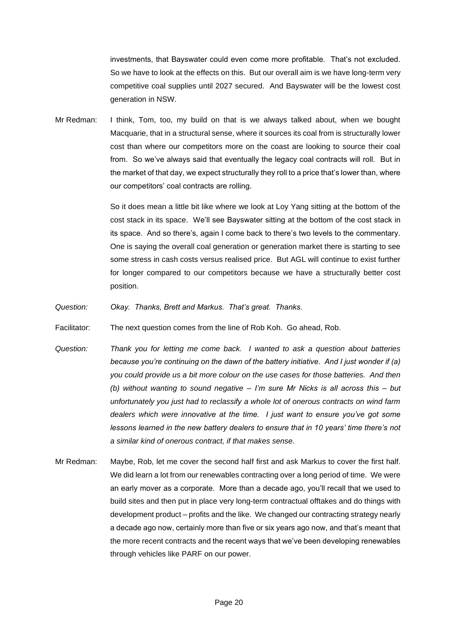investments, that Bayswater could even come more profitable. That's not excluded. So we have to look at the effects on this. But our overall aim is we have long-term very competitive coal supplies until 2027 secured. And Bayswater will be the lowest cost generation in NSW.

Mr Redman: I think, Tom, too, my build on that is we always talked about, when we bought Macquarie, that in a structural sense, where it sources its coal from is structurally lower cost than where our competitors more on the coast are looking to source their coal from. So we've always said that eventually the legacy coal contracts will roll. But in the market of that day, we expect structurally they roll to a price that's lower than, where our competitors' coal contracts are rolling.

> So it does mean a little bit like where we look at Loy Yang sitting at the bottom of the cost stack in its space. We'll see Bayswater sitting at the bottom of the cost stack in its space. And so there's, again I come back to there's two levels to the commentary. One is saying the overall coal generation or generation market there is starting to see some stress in cash costs versus realised price. But AGL will continue to exist further for longer compared to our competitors because we have a structurally better cost position.

*Question: Okay. Thanks, Brett and Markus. That's great. Thanks.*

Facilitator: The next question comes from the line of Rob Koh. Go ahead, Rob.

- *Question: Thank you for letting me come back. I wanted to ask a question about batteries because you're continuing on the dawn of the battery initiative. And I just wonder if (a) you could provide us a bit more colour on the use cases for those batteries. And then (b) without wanting to sound negative – I'm sure Mr Nicks is all across this – but unfortunately you just had to reclassify a whole lot of onerous contracts on wind farm dealers which were innovative at the time. I just want to ensure you've got some lessons learned in the new battery dealers to ensure that in 10 years' time there's not a similar kind of onerous contract, if that makes sense.*
- Mr Redman: Maybe, Rob, let me cover the second half first and ask Markus to cover the first half. We did learn a lot from our renewables contracting over a long period of time. We were an early mover as a corporate. More than a decade ago, you'll recall that we used to build sites and then put in place very long-term contractual offtakes and do things with development product – profits and the like. We changed our contracting strategy nearly a decade ago now, certainly more than five or six years ago now, and that's meant that the more recent contracts and the recent ways that we've been developing renewables through vehicles like PARF on our power.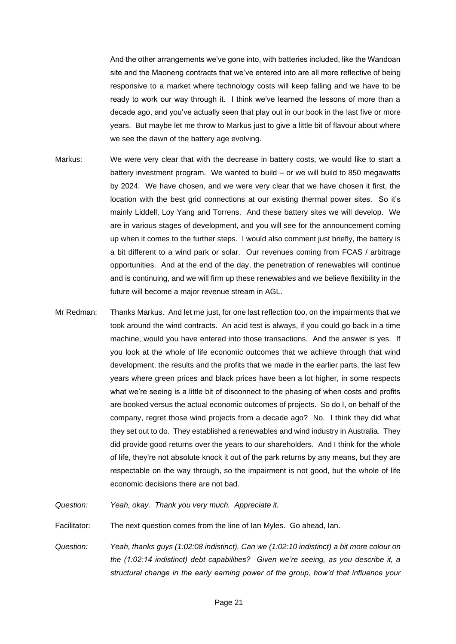And the other arrangements we've gone into, with batteries included, like the Wandoan site and the Maoneng contracts that we've entered into are all more reflective of being responsive to a market where technology costs will keep falling and we have to be ready to work our way through it. I think we've learned the lessons of more than a decade ago, and you've actually seen that play out in our book in the last five or more years. But maybe let me throw to Markus just to give a little bit of flavour about where we see the dawn of the battery age evolving.

- Markus: We were very clear that with the decrease in battery costs, we would like to start a battery investment program. We wanted to build – or we will build to 850 megawatts by 2024. We have chosen, and we were very clear that we have chosen it first, the location with the best grid connections at our existing thermal power sites. So it's mainly Liddell, Loy Yang and Torrens. And these battery sites we will develop. We are in various stages of development, and you will see for the announcement coming up when it comes to the further steps. I would also comment just briefly, the battery is a bit different to a wind park or solar. Our revenues coming from FCAS / arbitrage opportunities. And at the end of the day, the penetration of renewables will continue and is continuing, and we will firm up these renewables and we believe flexibility in the future will become a major revenue stream in AGL.
- Mr Redman: Thanks Markus. And let me just, for one last reflection too, on the impairments that we took around the wind contracts. An acid test is always, if you could go back in a time machine, would you have entered into those transactions. And the answer is yes. If you look at the whole of life economic outcomes that we achieve through that wind development, the results and the profits that we made in the earlier parts, the last few years where green prices and black prices have been a lot higher, in some respects what we're seeing is a little bit of disconnect to the phasing of when costs and profits are booked versus the actual economic outcomes of projects. So do I, on behalf of the company, regret those wind projects from a decade ago? No. I think they did what they set out to do. They established a renewables and wind industry in Australia. They did provide good returns over the years to our shareholders. And I think for the whole of life, they're not absolute knock it out of the park returns by any means, but they are respectable on the way through, so the impairment is not good, but the whole of life economic decisions there are not bad.

*Question: Yeah, okay. Thank you very much. Appreciate it.*

Facilitator: The next question comes from the line of Ian Myles. Go ahead, Ian.

*Question: Yeah, thanks guys (1:02:08 indistinct). Can we (1:02:10 indistinct) a bit more colour on the (1:02:14 indistinct) debt capabilities? Given we're seeing, as you describe it, a structural change in the early earning power of the group, how'd that influence your*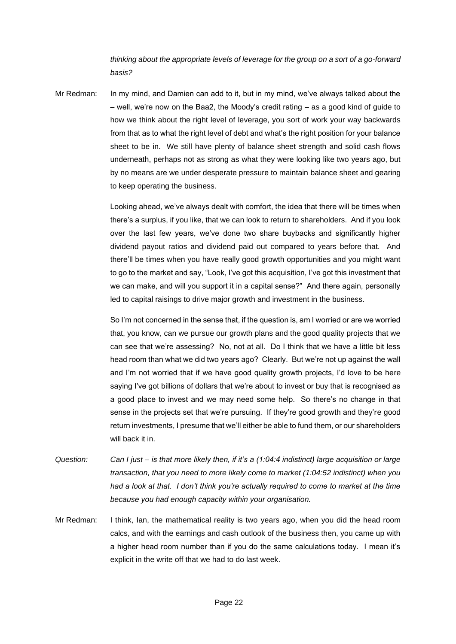*thinking about the appropriate levels of leverage for the group on a sort of a go-forward basis?*

Mr Redman: In my mind, and Damien can add to it, but in my mind, we've always talked about the – well, we're now on the Baa2, the Moody's credit rating – as a good kind of guide to how we think about the right level of leverage, you sort of work your way backwards from that as to what the right level of debt and what's the right position for your balance sheet to be in. We still have plenty of balance sheet strength and solid cash flows underneath, perhaps not as strong as what they were looking like two years ago, but by no means are we under desperate pressure to maintain balance sheet and gearing to keep operating the business.

> Looking ahead, we've always dealt with comfort, the idea that there will be times when there's a surplus, if you like, that we can look to return to shareholders. And if you look over the last few years, we've done two share buybacks and significantly higher dividend payout ratios and dividend paid out compared to years before that. And there'll be times when you have really good growth opportunities and you might want to go to the market and say, "Look, I've got this acquisition, I've got this investment that we can make, and will you support it in a capital sense?" And there again, personally led to capital raisings to drive major growth and investment in the business.

> So I'm not concerned in the sense that, if the question is, am I worried or are we worried that, you know, can we pursue our growth plans and the good quality projects that we can see that we're assessing? No, not at all. Do I think that we have a little bit less head room than what we did two years ago? Clearly. But we're not up against the wall and I'm not worried that if we have good quality growth projects, I'd love to be here saying I've got billions of dollars that we're about to invest or buy that is recognised as a good place to invest and we may need some help. So there's no change in that sense in the projects set that we're pursuing. If they're good growth and they're good return investments, I presume that we'll either be able to fund them, or our shareholders will back it in.

- *Question: Can I just – is that more likely then, if it's a (1:04:4 indistinct) large acquisition or large transaction, that you need to more likely come to market (1:04:52 indistinct) when you had a look at that. I don't think you're actually required to come to market at the time because you had enough capacity within your organisation.*
- Mr Redman: I think, Ian, the mathematical reality is two years ago, when you did the head room calcs, and with the earnings and cash outlook of the business then, you came up with a higher head room number than if you do the same calculations today. I mean it's explicit in the write off that we had to do last week.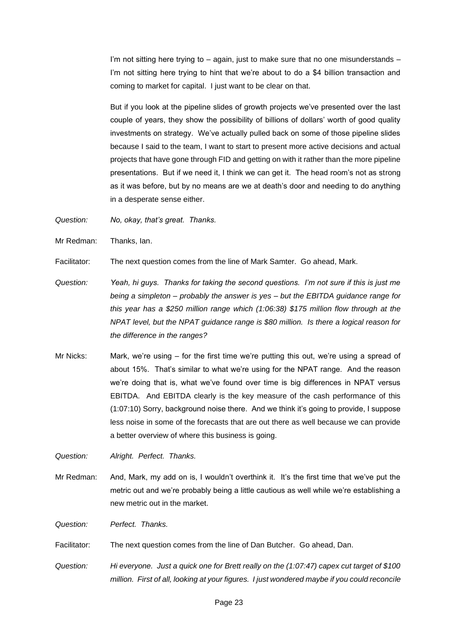I'm not sitting here trying to – again, just to make sure that no one misunderstands – I'm not sitting here trying to hint that we're about to do a \$4 billion transaction and coming to market for capital. I just want to be clear on that.

But if you look at the pipeline slides of growth projects we've presented over the last couple of years, they show the possibility of billions of dollars' worth of good quality investments on strategy. We've actually pulled back on some of those pipeline slides because I said to the team, I want to start to present more active decisions and actual projects that have gone through FID and getting on with it rather than the more pipeline presentations. But if we need it, I think we can get it. The head room's not as strong as it was before, but by no means are we at death's door and needing to do anything in a desperate sense either.

*Question: No, okay, that's great. Thanks.*

Mr Redman: Thanks, Ian.

Facilitator: The next question comes from the line of Mark Samter. Go ahead, Mark.

- *Question: Yeah, hi guys. Thanks for taking the second questions. I'm not sure if this is just me being a simpleton – probably the answer is yes – but the EBITDA guidance range for this year has a \$250 million range which (1:06:38) \$175 million flow through at the NPAT level, but the NPAT guidance range is \$80 million. Is there a logical reason for the difference in the ranges?*
- Mr Nicks: Mark, we're using for the first time we're putting this out, we're using a spread of about 15%. That's similar to what we're using for the NPAT range. And the reason we're doing that is, what we've found over time is big differences in NPAT versus EBITDA. And EBITDA clearly is the key measure of the cash performance of this (1:07:10) Sorry, background noise there. And we think it's going to provide, I suppose less noise in some of the forecasts that are out there as well because we can provide a better overview of where this business is going.

*Question: Alright. Perfect. Thanks.*

Mr Redman: And, Mark, my add on is, I wouldn't overthink it. It's the first time that we've put the metric out and we're probably being a little cautious as well while we're establishing a new metric out in the market.

*Question: Perfect. Thanks.*

Facilitator: The next question comes from the line of Dan Butcher. Go ahead, Dan.

*Question: Hi everyone. Just a quick one for Brett really on the (1:07:47) capex cut target of \$100 million. First of all, looking at your figures. I just wondered maybe if you could reconcile*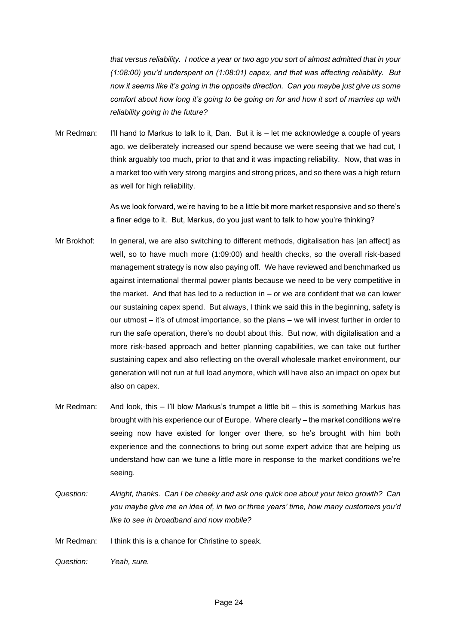*that versus reliability. I notice a year or two ago you sort of almost admitted that in your (1:08:00) you'd underspent on (1:08:01) capex, and that was affecting reliability. But now it seems like it's going in the opposite direction. Can you maybe just give us some comfort about how long it's going to be going on for and how it sort of marries up with reliability going in the future?*

Mr Redman: I'll hand to Markus to talk to it, Dan. But it is – let me acknowledge a couple of years ago, we deliberately increased our spend because we were seeing that we had cut, I think arguably too much, prior to that and it was impacting reliability. Now, that was in a market too with very strong margins and strong prices, and so there was a high return as well for high reliability.

> As we look forward, we're having to be a little bit more market responsive and so there's a finer edge to it. But, Markus, do you just want to talk to how you're thinking?

- Mr Brokhof: In general, we are also switching to different methods, digitalisation has [an affect] as well, so to have much more (1:09:00) and health checks, so the overall risk-based management strategy is now also paying off. We have reviewed and benchmarked us against international thermal power plants because we need to be very competitive in the market. And that has led to a reduction in – or we are confident that we can lower our sustaining capex spend. But always, I think we said this in the beginning, safety is our utmost – it's of utmost importance, so the plans – we will invest further in order to run the safe operation, there's no doubt about this. But now, with digitalisation and a more risk-based approach and better planning capabilities, we can take out further sustaining capex and also reflecting on the overall wholesale market environment, our generation will not run at full load anymore, which will have also an impact on opex but also on capex.
- Mr Redman: And look, this I'll blow Markus's trumpet a little bit this is something Markus has brought with his experience our of Europe. Where clearly – the market conditions we're seeing now have existed for longer over there, so he's brought with him both experience and the connections to bring out some expert advice that are helping us understand how can we tune a little more in response to the market conditions we're seeing.
- *Question: Alright, thanks. Can I be cheeky and ask one quick one about your telco growth? Can you maybe give me an idea of, in two or three years' time, how many customers you'd like to see in broadband and now mobile?*

Mr Redman: I think this is a chance for Christine to speak.

*Question: Yeah, sure.*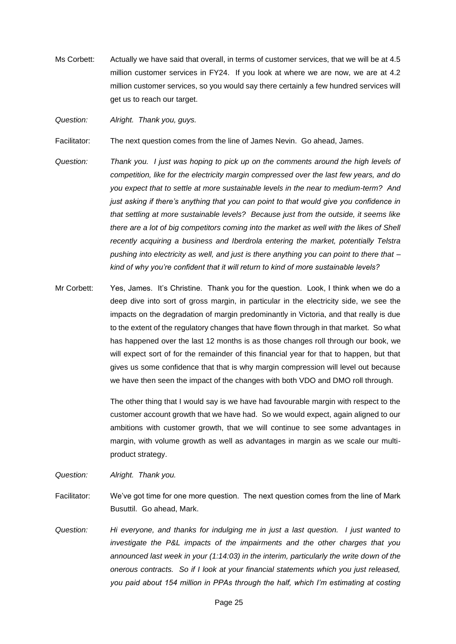Ms Corbett: Actually we have said that overall, in terms of customer services, that we will be at 4.5 million customer services in FY24. If you look at where we are now, we are at 4.2 million customer services, so you would say there certainly a few hundred services will get us to reach our target.

*Question: Alright. Thank you, guys.*

Facilitator: The next question comes from the line of James Nevin. Go ahead, James.

- *Question: Thank you. I just was hoping to pick up on the comments around the high levels of competition, like for the electricity margin compressed over the last few years, and do you expect that to settle at more sustainable levels in the near to medium-term? And just asking if there's anything that you can point to that would give you confidence in that settling at more sustainable levels? Because just from the outside, it seems like there are a lot of big competitors coming into the market as well with the likes of Shell recently acquiring a business and Iberdrola entering the market, potentially Telstra pushing into electricity as well, and just is there anything you can point to there that – kind of why you're confident that it will return to kind of more sustainable levels?*
- Mr Corbett: Yes, James. It's Christine. Thank you for the question. Look, I think when we do a deep dive into sort of gross margin, in particular in the electricity side, we see the impacts on the degradation of margin predominantly in Victoria, and that really is due to the extent of the regulatory changes that have flown through in that market. So what has happened over the last 12 months is as those changes roll through our book, we will expect sort of for the remainder of this financial year for that to happen, but that gives us some confidence that that is why margin compression will level out because we have then seen the impact of the changes with both VDO and DMO roll through.

The other thing that I would say is we have had favourable margin with respect to the customer account growth that we have had. So we would expect, again aligned to our ambitions with customer growth, that we will continue to see some advantages in margin, with volume growth as well as advantages in margin as we scale our multiproduct strategy.

*Question: Alright. Thank you.*

- Facilitator: We've got time for one more question. The next question comes from the line of Mark Busuttil. Go ahead, Mark.
- *Question: Hi everyone, and thanks for indulging me in just a last question. I just wanted to investigate the P&L impacts of the impairments and the other charges that you announced last week in your (1:14:03) in the interim, particularly the write down of the onerous contracts. So if I look at your financial statements which you just released, you paid about 154 million in PPAs through the half, which I'm estimating at costing*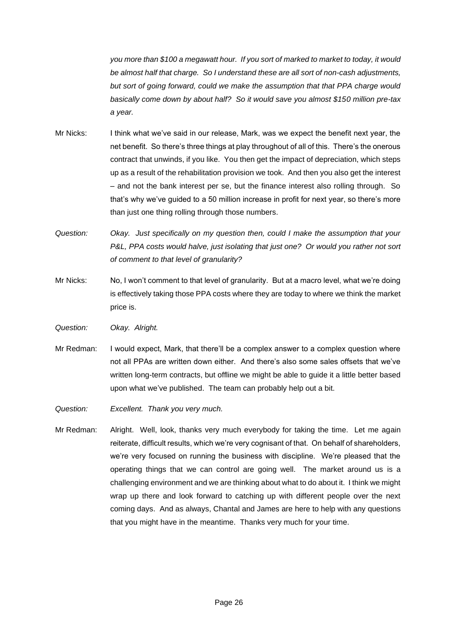*you more than \$100 a megawatt hour. If you sort of marked to market to today, it would be almost half that charge. So I understand these are all sort of non-cash adjustments, but sort of going forward, could we make the assumption that that PPA charge would basically come down by about half? So it would save you almost \$150 million pre-tax a year.*

- Mr Nicks: I think what we've said in our release, Mark, was we expect the benefit next year, the net benefit. So there's three things at play throughout of all of this. There's the onerous contract that unwinds, if you like. You then get the impact of depreciation, which steps up as a result of the rehabilitation provision we took. And then you also get the interest – and not the bank interest per se, but the finance interest also rolling through. So that's why we've guided to a 50 million increase in profit for next year, so there's more than just one thing rolling through those numbers.
- *Question: Okay. Just specifically on my question then, could I make the assumption that your P&L, PPA costs would halve, just isolating that just one? Or would you rather not sort of comment to that level of granularity?*
- Mr Nicks: No, I won't comment to that level of granularity. But at a macro level, what we're doing is effectively taking those PPA costs where they are today to where we think the market price is.
- *Question: Okay. Alright.*
- Mr Redman: I would expect, Mark, that there'll be a complex answer to a complex question where not all PPAs are written down either. And there's also some sales offsets that we've written long-term contracts, but offline we might be able to guide it a little better based upon what we've published. The team can probably help out a bit.
- *Question: Excellent. Thank you very much.*
- Mr Redman: Alright. Well, look, thanks very much everybody for taking the time. Let me again reiterate, difficult results, which we're very cognisant of that. On behalf of shareholders, we're very focused on running the business with discipline. We're pleased that the operating things that we can control are going well. The market around us is a challenging environment and we are thinking about what to do about it. I think we might wrap up there and look forward to catching up with different people over the next coming days. And as always, Chantal and James are here to help with any questions that you might have in the meantime. Thanks very much for your time.